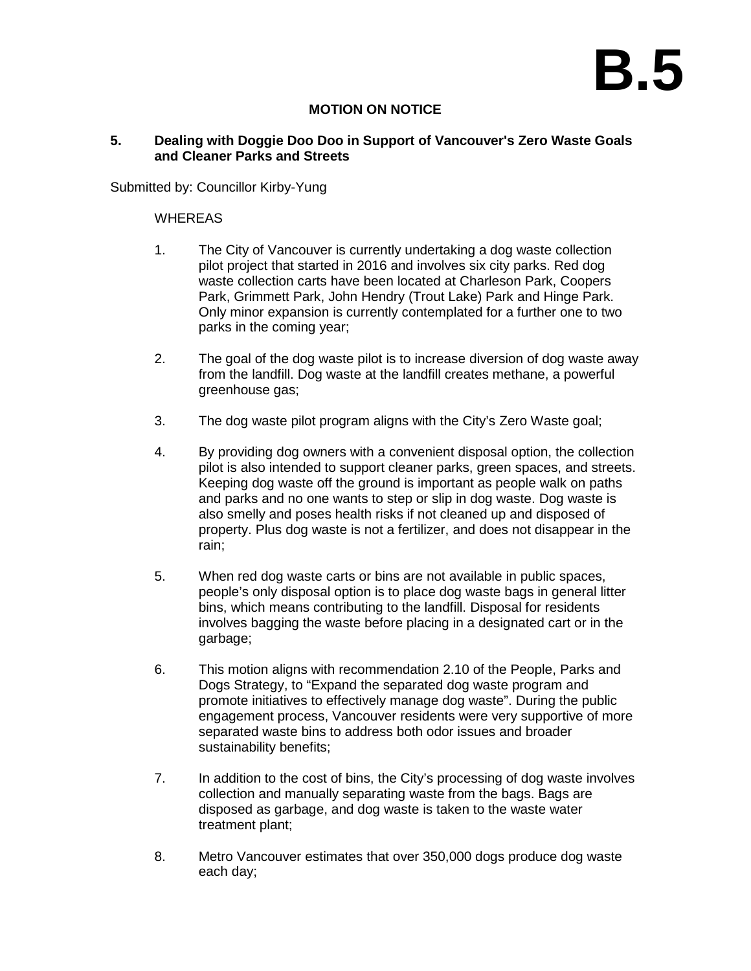# **B.5**

## **MOTION ON NOTICE**

### **5. Dealing with Doggie Doo Doo in Support of Vancouver's Zero Waste Goals and Cleaner Parks and Streets**

Submitted by: Councillor Kirby-Yung

### **WHEREAS**

- 1. The City of Vancouver is currently undertaking a dog waste collection pilot project that started in 2016 and involves six city parks. Red dog waste collection carts have been located at Charleson Park, Coopers Park, Grimmett Park, John Hendry (Trout Lake) Park and Hinge Park. Only minor expansion is currently contemplated for a further one to two parks in the coming year;
- 2. The goal of the dog waste pilot is to increase diversion of dog waste away from the landfill. Dog waste at the landfill creates methane, a powerful greenhouse gas;
- 3. The dog waste pilot program aligns with the City's Zero Waste goal;
- 4. By providing dog owners with a convenient disposal option, the collection pilot is also intended to support cleaner parks, green spaces, and streets. Keeping dog waste off the ground is important as people walk on paths and parks and no one wants to step or slip in dog waste. Dog waste is also smelly and poses health risks if not cleaned up and disposed of property. Plus dog waste is not a fertilizer, and does not disappear in the rain;
- 5. When red dog waste carts or bins are not available in public spaces, people's only disposal option is to place dog waste bags in general litter bins, which means contributing to the landfill. Disposal for residents involves bagging the waste before placing in a designated cart or in the garbage;
- 6. This motion aligns with recommendation 2.10 of the People, Parks and Dogs Strategy, to "Expand the separated dog waste program and promote initiatives to effectively manage dog waste". During the public engagement process, Vancouver residents were very supportive of more separated waste bins to address both odor issues and broader sustainability benefits;
- 7. In addition to the cost of bins, the City's processing of dog waste involves collection and manually separating waste from the bags. Bags are disposed as garbage, and dog waste is taken to the waste water treatment plant;
- 8. Metro Vancouver estimates that over 350,000 dogs produce dog waste each day;